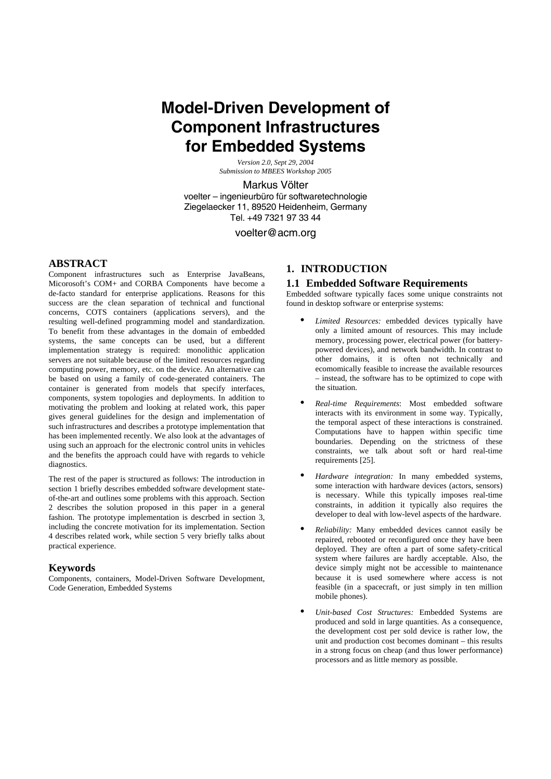# **Model-Driven Development of Component Infrastructures for Embedded Systems**

*Version 2.0, Sept 29, 2004 Submission to MBEES Workshop 2005*

Markus Völter voelter – ingenieurbüro für softwaretechnologie

Ziegelaecker 11, 89520 Heidenheim, Germany Tel. +49 7321 97 33 44

voelter@acm.org

### **ABSTRACT**

Component infrastructures such as Enterprise JavaBeans, Micorosoft's COM+ and CORBA Components have become a de-facto standard for enterprise applications. Reasons for this success are the clean separation of technical and functional concerns, COTS containers (applications servers), and the resulting well-defined programming model and standardization. To benefit from these advantages in the domain of embedded systems, the same concepts can be used, but a different implementation strategy is required: monolithic application servers are not suitable because of the limited resources regarding computing power, memory, etc. on the device. An alternative can be based on using a family of code-generated containers. The container is generated from models that specify interfaces, components, system topologies and deployments. In addition to motivating the problem and looking at related work, this paper gives general guidelines for the design and implementation of such infrastructures and describes a prototype implementation that has been implemented recently. We also look at the advantages of using such an approach for the electronic control units in vehicles and the benefits the approach could have with regards to vehicle diagnostics.

The rest of the paper is structured as follows: The introduction in section 1 briefly describes embedded software development stateof-the-art and outlines some problems with this approach. Section 2 describes the solution proposed in this paper in a general fashion. The prototype implementation is descrbed in section 3, including the concrete motivation for its implementation. Section 4 describes related work, while section 5 very briefly talks about practical experience.

### **Keywords**

Components, containers, Model-Driven Software Development, Code Generation, Embedded Systems

# **1. INTRODUCTION**

### **1.1 Embedded Software Requirements**

Embedded software typically faces some unique constraints not found in desktop software or enterprise systems:

- **•** *Limited Resources:* embedded devices typically have only a limited amount of resources. This may include memory, processing power, electrical power (for batterypowered devices), and network bandwidth. In contrast to other domains, it is often not technically and ecomomically feasible to increase the available resources – instead, the software has to be optimized to cope with the situation.
- **•** *Real-time Requirements*: Most embedded software interacts with its environment in some way. Typically, the temporal aspect of these interactions is constrained. Computations have to happen within specific time boundaries. Depending on the strictness of these constraints, we talk about soft or hard real-time requirements [25].
- **•** *Hardware integration:* In many embedded systems, some interaction with hardware devices (actors, sensors) is necessary. While this typically imposes real-time constraints, in addition it typically also requires the developer to deal with low-level aspects of the hardware.
- **•** *Reliability:* Many embedded devices cannot easily be repaired, rebooted or reconfigured once they have been deployed. They are often a part of some safety-critical system where failures are hardly acceptable. Also, the device simply might not be accessible to maintenance because it is used somewhere where access is not feasible (in a spacecraft, or just simply in ten million mobile phones).
- **•** *Unit-based Cost Structures:* Embedded Systems are produced and sold in large quantities. As a consequence, the development cost per sold device is rather low, the unit and production cost becomes dominant – this results in a strong focus on cheap (and thus lower performance) processors and as little memory as possible.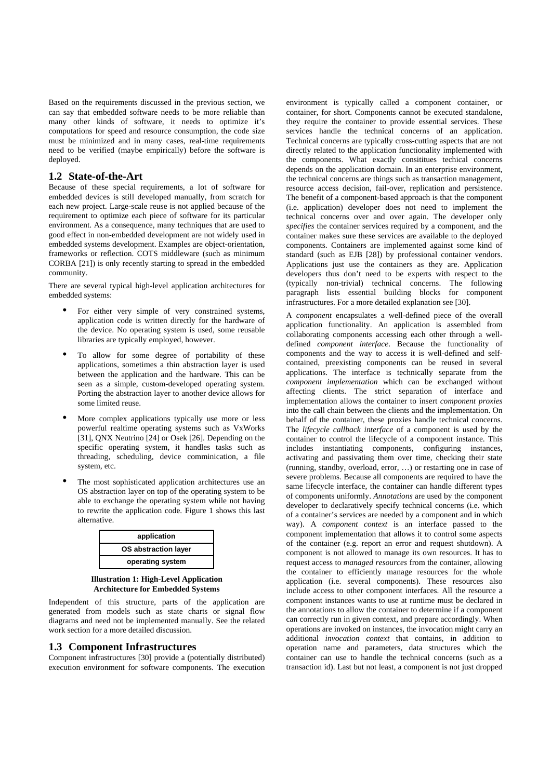Based on the requirements discussed in the previous section, we can say that embedded software needs to be more reliable than many other kinds of software, it needs to optimize it's computations for speed and resource consumption, the code size must be minimized and in many cases, real-time requirements need to be verified (maybe empirically) before the software is deployed.

### **1.2 State-of-the-Art**

Because of these special requirements, a lot of software for embedded devices is still developed manually, from scratch for each new project. Large-scale reuse is not applied because of the requirement to optimize each piece of software for its particular environment. As a consequence, many techniques that are used to good effect in non-embedded development are not widely used in embedded systems development. Examples are object-orientation, frameworks or reflection. COTS middleware (such as minimum CORBA [21]) is only recently starting to spread in the embedded community.

There are several typical high-level application architectures for embedded systems:

- For either very simple of very constrained systems, application code is written directly for the hardware of the device. No operating system is used, some reusable libraries are typically employed, however.
- **•** To allow for some degree of portability of these applications, sometimes a thin abstraction layer is used between the application and the hardware. This can be seen as a simple, custom-developed operating system. Porting the abstraction layer to another device allows for some limited reuse.
- **•** More complex applications typically use more or less powerful realtime operating systems such as VxWorks [31], QNX Neutrino [24] or Osek [26]. Depending on the specific operating system, it handles tasks such as threading, scheduling, device comminication, a file system, etc.
- **•** The most sophisticated application architectures use an OS abstraction layer on top of the operating system to be able to exchange the operating system while not having to rewrite the application code. Figure 1 shows this last alternative.



**Illustration 1: High-Level Application Architecture for Embedded Systems** 

Independent of this structure, parts of the application are generated from models such as state charts or signal flow diagrams and need not be implemented manually. See the related work section for a more detailed discussion.

### **1.3 Component Infrastructures**

Component infrastructures [30] provide a (potentially distributed) execution environment for software components. The execution environment is typically called a component container, or container, for short. Components cannot be executed standalone, they require the container to provide essential services. These services handle the technical concerns of an application. Technical concerns are typically cross-cutting aspects that are not directly related to the application functionality implemented with the components. What exactly consititues techical concerns depends on the application domain. In an enterprise environment, the technical concerns are things such as transaction management, resource access decision, fail-over, replication and persistence. The benefit of a component-based approach is that the component (i.e. application) developer does not need to implement the technical concerns over and over again. The developer only *specifies* the container services required by a component, and the container makes sure these services are available to the deployed components. Containers are implemented against some kind of standard (such as EJB [28]) by professional container vendors. Applications just use the containers as they are. Application developers thus don't need to be experts with respect to the (typically non-trivial) technical concerns. The following paragraph lists essential building blocks for component infrastructures. For a more detailed explanation see [30].

A *component* encapsulates a well-defined piece of the overall application functionality. An application is assembled from collaborating components accessing each other through a welldefined *component interface*. Because the functionality of components and the way to access it is well-defined and selfcontained, preexisting components can be reused in several applications. The interface is technically separate from the *component implementation* which can be exchanged without affecting clients. The strict separation of interface and implementation allows the container to insert *component proxies* into the call chain between the clients and the implementation. On behalf of the container, these proxies handle technical concerns. The *lifecycle callback interface* of a component is used by the container to control the lifecycle of a component instance. This includes instantiating components, configuring instances, activating and passivating them over time, checking their state (running, standby, overload, error, …) or restarting one in case of severe problems. Because all components are required to have the same lifecycle interface, the container can handle different types of components uniformly. *Annotations* are used by the component developer to declaratively specify technical concerns (i.e. which of a container's services are needed by a component and in which way). A *component context* is an interface passed to the component implementation that allows it to control some aspects of the container (e.g. report an error and request shutdown). A component is not allowed to manage its own resources. It has to request access to *managed resources* from the container, allowing the container to efficiently manage resources for the whole application (i.e. several components). These resources also include access to other component interfaces. All the resource a component instances wants to use at runtime must be declared in the annotations to allow the container to determine if a component can correctly run in given context, and prepare accordingly. When operations are invoked on instances, the invocation might carry an additional *invocation context* that contains, in addition to operation name and parameters, data structures which the container can use to handle the technical concerns (such as a transaction id). Last but not least, a component is not just dropped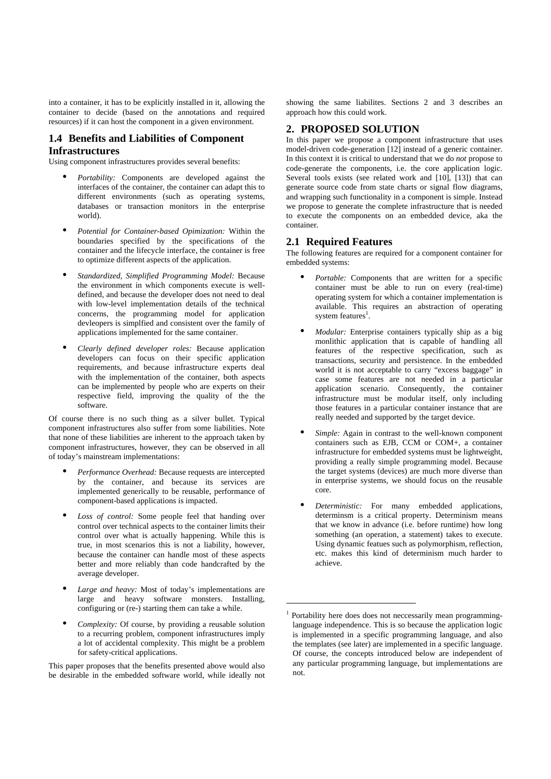into a container, it has to be explicitly installed in it, allowing the container to decide (based on the annotations and required resources) if it can host the component in a given environment.

# **1.4 Benefits and Liabilities of Component Infrastructures**

Using component infrastructures provides several benefits:

- **•** *Portability:* Components are developed against the interfaces of the container, the container can adapt this to different environments (such as operating systems, databases or transaction monitors in the enterprise world).
- **•** *Potential for Container-based Opimization:* Within the boundaries specified by the specifications of the container and the lifecycle interface, the container is free to optimize different aspects of the application.
- **•** *Standardized, Simplified Programming Model:* Because the environment in which components execute is welldefined, and because the developer does not need to deal with low-level implementation details of the technical concerns, the programming model for application devleopers is simplfied and consistent over the family of applications implemented for the same container.
- **•** *Clearly defined developer roles:* Because application developers can focus on their specific application requirements, and because infrastructure experts deal with the implementation of the container, both aspects can be implemented by people who are experts on their respective field, improving the quality of the the software.

Of course there is no such thing as a silver bullet. Typical component infrastructures also suffer from some liabilities. Note that none of these liabilities are inherent to the approach taken by component infrastructures, however, they can be observed in all of today's mainstream implementations:

- **•** *Performance Overhead:* Because requests are intercepted by the container, and because its services are implemented generically to be reusable, performance of component-based applications is impacted.
- **•** *Loss of control:* Some people feel that handing over control over technical aspects to the container limits their control over what is actually happening. While this is true, in most scenarios this is not a liability, however, because the container can handle most of these aspects better and more reliably than code handcrafted by the average developer.
- **•** *Large and heavy:* Most of today's implementations are large and heavy software monsters. Installing, configuring or (re-) starting them can take a while.
- **•** *Complexity:* Of course, by providing a reusable solution to a recurring problem, component infrastructures imply a lot of accidental complexity. This might be a problem for safety-critical applications.

This paper proposes that the benefits presented above would also be desirable in the embedded software world, while ideally not showing the same liabilites. Sections 2 and 3 describes an approach how this could work.

# **2. PROPOSED SOLUTION**

In this paper we propose a component infrastructure that uses model-driven code-generation [12] instead of a generic container. In this context it is critical to understand that we do *not* propose to code-generate the components, i.e. the core application logic. Several tools exists (see related work and [10], [13]) that can generate source code from state charts or signal flow diagrams, and wrapping such functionality in a component is simple. Instead we propose to generate the complete infrastructure that is needed to execute the components on an embedded device, aka the container.

### **2.1 Required Features**

The following features are required for a component container for embedded systems:

- **•** *Portable:* Components that are written for a specific container must be able to run on every (real-time) operating system for which a container implementation is available. This requires an abstraction of operating system features<sup>1</sup>.
- **•** *Modular:* Enterprise containers typically ship as a big monlithic application that is capable of handling all features of the respective specification, such as transactions, security and persistence. In the embedded world it is not acceptable to carry "excess baggage" in case some features are not needed in a particular application scenario. Consequently, the container infrastructure must be modular itself, only including those features in a particular container instance that are really needed and supported by the target device.
- **•** *Simple:* Again in contrast to the well-known component containers such as EJB, CCM or COM+, a container infrastructure for embedded systems must be lightweight, providing a really simple programming model. Because the target systems (devices) are much more diverse than in enterprise systems, we should focus on the reusable core.
- **•** *Deterministic:* For many embedded applications, determinsm is a critical property. Determinism means that we know in advance (i.e. before runtime) how long something (an operation, a statement) takes to execute. Using dynamic featues such as polymorphism, reflection, etc. makes this kind of determinism much harder to achieve.

l

<sup>&</sup>lt;sup>1</sup> Portability here does does not neccessarily mean programminglanguage independence. This is so because the application logic is implemented in a specific programming language, and also the templates (see later) are implemented in a specific language. Of course, the concepts introduced below are independent of any particular programming language, but implementations are not.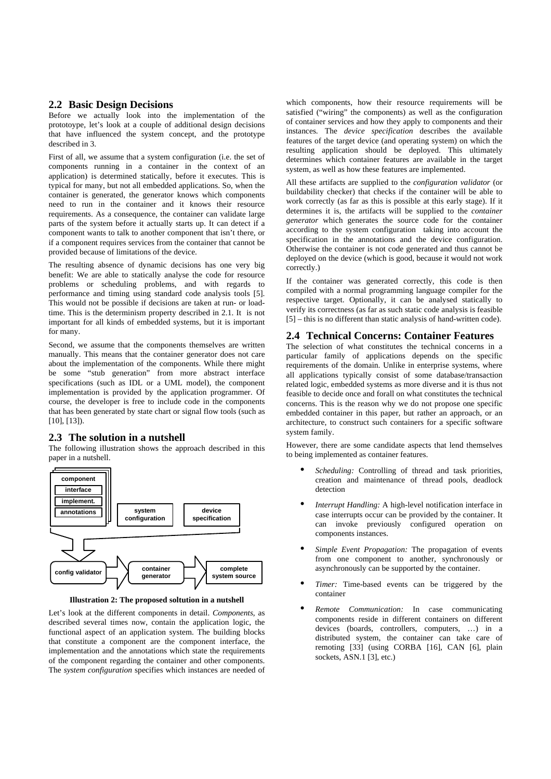### **2.2 Basic Design Decisions**

Before we actually look into the implementation of the prototoype, let's look at a couple of additional design decisions that have influenced the system concept, and the prototype described in 3.

First of all, we assume that a system configuration (i.e. the set of components running in a container in the context of an application) is determined statically, before it executes. This is typical for many, but not all embedded applications. So, when the container is generated, the generator knows which components need to run in the container and it knows their resource requirements. As a consequence, the container can validate large parts of the system before it actually starts up. It can detect if a component wants to talk to another component that isn't there, or if a component requires services from the container that cannot be provided because of limitations of the device.

The resulting absence of dynamic decisions has one very big benefit: We are able to statically analyse the code for resource problems or scheduling problems, and with regards to performance and timing using standard code analysis tools [5]. This would not be possible if decisions are taken at run- or loadtime. This is the determinism property described in 2.1. It is not important for all kinds of embedded systems, but it is important for many.

Second, we assume that the components themselves are written manually. This means that the container generator does not care about the implementation of the components. While there might be some "stub generation" from more abstract interface specifications (such as IDL or a UML model), the component implementation is provided by the application programmer. Of course, the developer is free to include code in the components that has been generated by state chart or signal flow tools (such as [10], [13]).

### **2.3 The solution in a nutshell**

The following illustration shows the approach described in this paper in a nutshell.



**Illustration 2: The proposed soltution in a nutshell** 

Let's look at the different components in detail. *Components*, as described several times now, contain the application logic, the functional aspect of an application system. The building blocks that constitute a component are the component interface, the implementation and the annotations which state the requirements of the component regarding the container and other components. The *system configuration* specifies which instances are needed of

which components, how their resource requirements will be satisfied ("wiring" the components) as well as the configuration of container services and how they apply to components and their instances. The *device specification* describes the available features of the target device (and operating system) on which the resulting application should be deployed. This ultimately determines which container features are available in the target system, as well as how these features are implemented.

All these artifacts are supplied to the *configuration validator* (or buildability checker) that checks if the container will be able to work correctly (as far as this is possible at this early stage). If it determines it is, the artifacts will be supplied to the *container generator* which generates the source code for the container according to the system configuration taking into account the specification in the annotations and the device configuration. Otherwise the container is not code generated and thus cannot be deployed on the device (which is good, because it would not work correctly.)

If the container was generated correctly, this code is then compiled with a normal programming language compiler for the respective target. Optionally, it can be analysed statically to verify its correctness (as far as such static code analysis is feasible [5] – this is no different than static analysis of hand-written code).

### **2.4 Technical Concerns: Container Features**

The selection of what constitutes the technical concerns in a particular family of applications depends on the specific requirements of the domain. Unlike in enterprise systems, where all applications typically consist of some database/transaction related logic, embedded systems as more diverse and it is thus not feasible to decide once and forall on what constitutes the technical concerns. This is the reason why we do not propose one specific embedded container in this paper, but rather an approach, or an architecture, to construct such containers for a specific software system family.

However, there are some candidate aspects that lend themselves to being implemented as container features.

- **•** *Scheduling:* Controlling of thread and task priorities, creation and maintenance of thread pools, deadlock detection
- **•** *Interrupt Handling:* A high-level notification interface in case interrupts occur can be provided by the container. It can invoke previously configured operation on components instances.
- **•** *Simple Event Propagation:* The propagation of events from one component to another, synchronously or asynchronously can be supported by the container.
- **•** *Timer:* Time-based events can be triggered by the container
- **•** *Remote Communication:* In case communicating components reside in different containers on different devices (boards, controllers, computers, …) in a distributed system, the container can take care of remoting [33] (using CORBA [16], CAN [6], plain sockets, ASN.1 [3], etc.)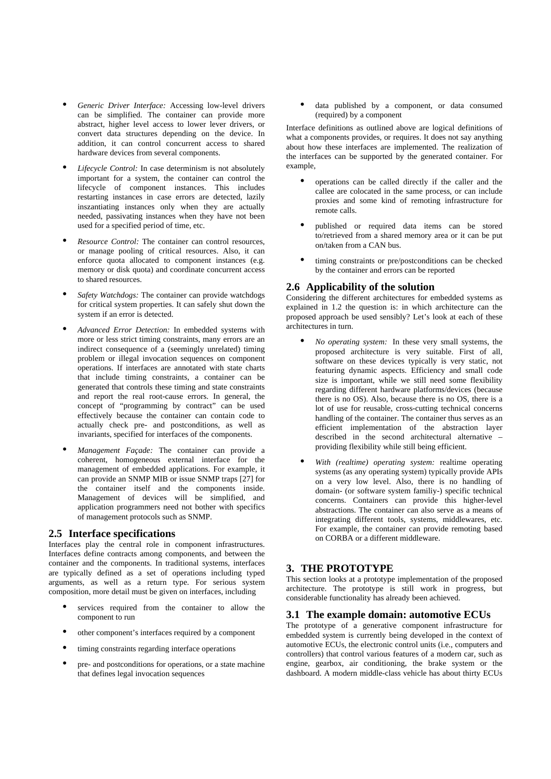- **•** *Generic Driver Interface:* Accessing low-level drivers can be simplified. The container can provide more abstract, higher level access to lower lever drivers, or convert data structures depending on the device. In addition, it can control concurrent access to shared hardware devices from several components.
- **•** *Lifecycle Control:* In case determinism is not absolutely important for a system, the container can control the lifecycle of component instances. This includes restarting instances in case errors are detected, lazily inszantiating instances only when they are actually needed, passivating instances when they have not been used for a specified period of time, etc.
- **•** *Resource Control:* The container can control resources, or manage pooling of critical resources. Also, it can enforce quota allocated to component instances (e.g. memory or disk quota) and coordinate concurrent access to shared resources.
- **•** *Safety Watchdogs:* The container can provide watchdogs for critical system properties. It can safely shut down the system if an error is detected.
- **•** *Advanced Error Detection:* In embedded systems with more or less strict timing constraints, many errors are an indirect consequence of a (seemingly unrelated) timing problem or illegal invocation sequences on component operations. If interfaces are annotated with state charts that include timing constraints, a container can be generated that controls these timing and state constraints and report the real root-cause errors. In general, the concept of "programming by contract" can be used effectively because the container can contain code to actually check pre- and postconditions, as well as invariants, specified for interfaces of the components.
- **•** *Management Façade:* The container can provide a coherent, homogeneous external interface for the management of embedded applications. For example, it can provide an SNMP MIB or issue SNMP traps [27] for the container itself and the components inside. Management of devices will be simplified, and application programmers need not bother with specifics of management protocols such as SNMP.

### **2.5 Interface specifications**

Interfaces play the central role in component infrastructures. Interfaces define contracts among components, and between the container and the components. In traditional systems, interfaces are typically defined as a set of operations including typed arguments, as well as a return type. For serious system composition, more detail must be given on interfaces, including

- **•** services required from the container to allow the component to run
- **•** other component's interfaces required by a component
- **•** timing constraints regarding interface operations
- **•** pre- and postconditions for operations, or a state machine that defines legal invocation sequences

**•** data published by a component, or data consumed (required) by a component

Interface definitions as outlined above are logical definitions of what a components provides, or requires. It does not say anything about how these interfaces are implemented. The realization of the interfaces can be supported by the generated container. For example,

- **•** operations can be called directly if the caller and the callee are colocated in the same process, or can include proxies and some kind of remoting infrastructure for remote calls.
- **•** published or required data items can be stored to/retrieved from a shared memory area or it can be put on/taken from a CAN bus.
- **•** timing constraints or pre/postconditions can be checked by the container and errors can be reported

### **2.6 Applicability of the solution**

Considering the different architectures for embedded systems as explained in 1.2 the question is: in which architecture can the proposed approach be used sensibly? Let's look at each of these architectures in turn.

- **•** *No operating system:* In these very small systems, the proposed architecture is very suitable. First of all, software on these devices typically is very static, not featuring dynamic aspects. Efficiency and small code size is important, while we still need some flexibility regarding different hardware platforms/devices (because there is no OS). Also, because there is no OS, there is a lot of use for reusable, cross-cutting technical concerns handling of the container. The container thus serves as an efficient implementation of the abstraction layer described in the second architectural alternative – providing flexibility while still being efficient.
- **•** *With (realtime) operating system:* realtime operating systems (as any operating system) typically provide APIs on a very low level. Also, there is no handling of domain- (or software system familiy-) specific technical concerns. Containers can provide this higher-level abstractions. The container can also serve as a means of integrating different tools, systems, middlewares, etc. For example, the container can provide remoting based on CORBA or a different middleware.

# **3. THE PROTOTYPE**

This section looks at a prototype implementation of the proposed architecture. The prototype is still work in progress, but considerable functionality has already been achieved.

### **3.1 The example domain: automotive ECUs**

The prototype of a generative component infrastructure for embedded system is currently being developed in the context of automotive ECUs, the electronic control units (i.e., computers and controllers) that control various features of a modern car, such as engine, gearbox, air conditioning, the brake system or the dashboard. A modern middle-class vehicle has about thirty ECUs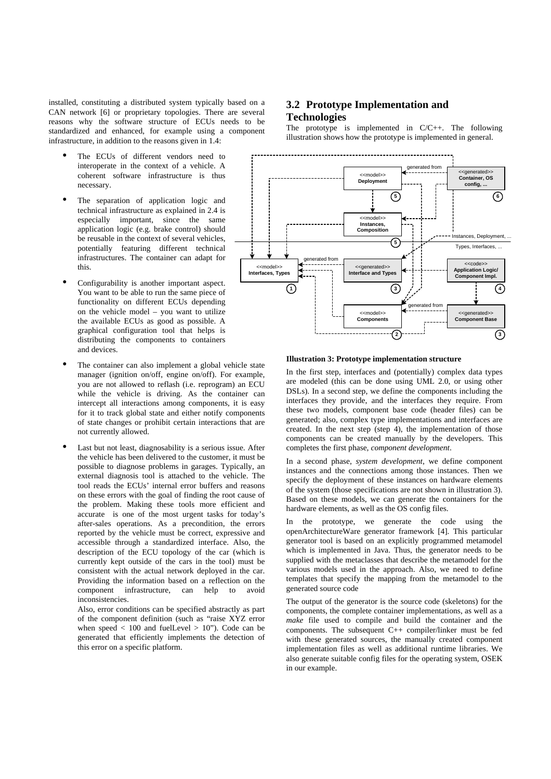installed, constituting a distributed system typically based on a CAN network [6] or proprietary topologies. There are several reasons why the software structure of ECUs needs to be standardized and enhanced, for example using a component infrastructure, in addition to the reasons given in 1.4:

- The ECUs of different vendors need to interoperate in the context of a vehicle. A coherent software infrastructure is thus necessary.
- The separation of application logic and technical infrastructure as explained in 2.4 is especially important, since the same application logic (e.g. brake control) should be reusable in the context of several vehicles, potentially featuring different technical infrastructures. The container can adapt for this.
- **•** Configurability is another important aspect. You want to be able to run the same piece of functionality on different ECUs depending on the vehicle model – you want to utilize the available ECUs as good as possible. A graphical configuration tool that helps is distributing the components to containers and devices.
- The container can also implement a global vehicle state manager (ignition on/off, engine on/off). For example, you are not allowed to reflash (i.e. reprogram) an ECU while the vehicle is driving. As the container can intercept all interactions among components, it is easy for it to track global state and either notify components of state changes or prohibit certain interactions that are not currently allowed.
- **•** Last but not least, diagnosability is a serious issue. After the vehicle has been delivered to the customer, it must be possible to diagnose problems in garages. Typically, an external diagnosis tool is attached to the vehicle. The tool reads the ECUs' internal error buffers and reasons on these errors with the goal of finding the root cause of the problem. Making these tools more efficient and accurate is one of the most urgent tasks for today's after-sales operations. As a precondition, the errors reported by the vehicle must be correct, expressive and accessible through a standardized interface. Also, the description of the ECU topology of the car (which is currently kept outside of the cars in the tool) must be consistent with the actual network deployed in the car. Providing the information based on a reflection on the component infrastructure, can help to avoid inconsistencies.

Also, error conditions can be specified abstractly as part of the component definition (such as "raise XYZ error when speed  $< 100$  and fuelLevel  $> 10$ "). Code can be generated that efficiently implements the detection of this error on a specific platform.

# **3.2 Prototype Implementation and Technologies**

The prototype is implemented in  $C/C_{++}$ . The following illustration shows how the prototype is implemented in general.



#### **Illustration 3: Prototype implementation structure**

In the first step, interfaces and (potentially) complex data types are modeled (this can be done using UML 2.0, or using other DSLs). In a second step, we define the components including the interfaces they provide, and the interfaces they require. From these two models, component base code (header files) can be generated; also, complex type implementations and interfaces are created. In the next step (step 4), the implementation of those components can be created manually by the developers. This completes the first phase, *component development*.

In a second phase, *system development*, we define component instances and the connections among those instances. Then we specify the deployment of these instances on hardware elements of the system (those specifications are not shown in illustration 3). Based on these models, we can generate the containers for the hardware elements, as well as the OS config files.

In the prototype, we generate the code using the openArchitectureWare generator framework [4]. This particular generator tool is based on an explicitly programmed metamodel which is implemented in Java. Thus, the generator needs to be supplied with the metaclasses that describe the metamodel for the various models used in the approach. Also, we need to define templates that specify the mapping from the metamodel to the generated source code

The output of the generator is the source code (skeletons) for the components, the complete container implementations, as well as a *make* file used to compile and build the container and the components. The subsequent C++ compiler/linker must be fed with these generated sources, the manually created component implementation files as well as additional runtime libraries. We also generate suitable config files for the operating system, OSEK in our example.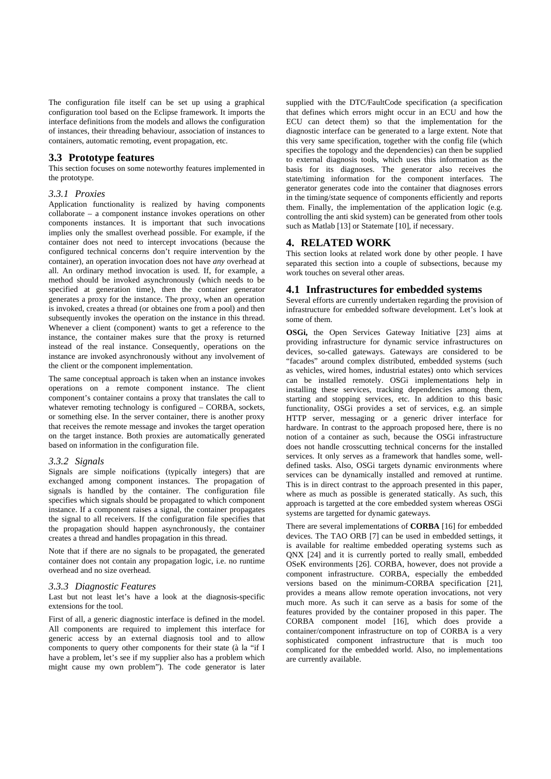The configuration file itself can be set up using a graphical configuration tool based on the Eclipse framework. It imports the interface definitions from the models and allows the configuration of instances, their threading behaviour, association of instances to containers, automatic remoting, event propagation, etc.

### **3.3 Prototype features**

This section focuses on some noteworthy features implemented in the prototype.

#### *3.3.1 Proxies*

Application functionality is realized by having components collaborate – a component instance invokes operations on other components instances. It is important that such invocations implies only the smallest overhead possible. For example, if the container does not need to intercept invocations (because the configured technical concerns don't require intervention by the container), an operation invocation does not have *any* overhead at all. An ordinary method invocation is used. If, for example, a method should be invoked asynchronously (which needs to be specified at generation time), then the container generator generates a proxy for the instance. The proxy, when an operation is invoked, creates a thread (or obtaines one from a pool) and then subsequently invokes the operation on the instance in this thread. Whenever a client (component) wants to get a reference to the instance, the container makes sure that the proxy is returned instead of the real instance. Consequently, operations on the instance are invoked asynchronously without any involvement of the client or the component implementation.

The same conceptual approach is taken when an instance invokes operations on a remote component instance. The client component's container contains a proxy that translates the call to whatever remoting technology is configured – CORBA, sockets, or something else. In the server container, there is another proxy that receives the remote message and invokes the target operation on the target instance. Both proxies are automatically generated based on information in the configuration file.

#### *3.3.2 Signals*

Signals are simple noifications (typically integers) that are exchanged among component instances. The propagation of signals is handled by the container. The configuration file specifies which signals should be propagated to which component instance. If a component raises a signal, the container propagates the signal to all receivers. If the configuration file specifies that the propagation should happen asynchronously, the container creates a thread and handles propagation in this thread.

Note that if there are no signals to be propagated, the generated container does not contain any propagation logic, i.e. no runtime overhead and no size overhead.

#### *3.3.3 Diagnostic Features*

Last but not least let's have a look at the diagnosis-specific extensions for the tool.

First of all, a generic diagnostic interface is defined in the model. All components are required to implement this interface for generic access by an external diagnosis tool and to allow components to query other components for their state (à la "if I have a problem, let's see if my supplier also has a problem which might cause my own problem"). The code generator is later

supplied with the DTC/FaultCode specification (a specification that defines which errors might occur in an ECU and how the ECU can detect them) so that the implementation for the diagnostic interface can be generated to a large extent. Note that this very same specification, together with the config file (which specifies the topology and the dependencies) can then be supplied to external diagnosis tools, which uses this information as the basis for its diagnoses. The generator also receives the state/timing information for the component interfaces. The generator generates code into the container that diagnoses errors in the timing/state sequence of components efficiently and reports them. Finally, the implementation of the application logic (e.g. controlling the anti skid system) can be generated from other tools such as Matlab [13] or Statemate [10], if necessary.

### **4. RELATED WORK**

This section looks at related work done by other people. I have separated this section into a couple of subsections, because my work touches on several other areas.

### **4.1 Infrastructures for embedded systems**

Several efforts are currently undertaken regarding the provision of infrastructure for embedded software development. Let's look at some of them.

**OSGi,** the Open Services Gateway Initiative [23] aims at providing infrastructure for dynamic service infrastructures on devices, so-called gateways. Gateways are considered to be "facades" around complex distributed, embedded systems (such as vehicles, wired homes, industrial estates) onto which services can be installed remotely. OSGi implementations help in installing these services, tracking dependencies among them, starting and stopping services, etc. In addition to this basic functionality, OSGi provides a set of services, e.g. an simple HTTP server, messaging or a generic driver interface for hardware. In contrast to the approach proposed here, there is no notion of a container as such, because the OSGi infrastructure does not handle crosscutting technical concerns for the installed services. It only serves as a framework that handles some, welldefined tasks. Also, OSGi targets dynamic environments where services can be dynamically installed and removed at runtime. This is in direct contrast to the approach presented in this paper, where as much as possible is generated statically. As such, this approach is targetted at the core embedded system whereas OSGi systems are targetted for dynamic gateways.

There are several implementations of **CORBA** [16] for embedded devices. The TAO ORB [7] can be used in embedded settings, it is available for realtime embedded operating systems such as QNX [24] and it is currently ported to really small, embedded OSeK environments [26]. CORBA, however, does not provide a component infrastructure. CORBA, especially the embedded versions based on the minimum-CORBA specification [21], provides a means allow remote operation invocations, not very much more. As such it can serve as a basis for some of the features provided by the container proposed in this paper. The CORBA component model [16], which does provide a container/component infrastructure on top of CORBA is a very sophisticated component infrastructure that is much too complicated for the embedded world. Also, no implementations are currently available.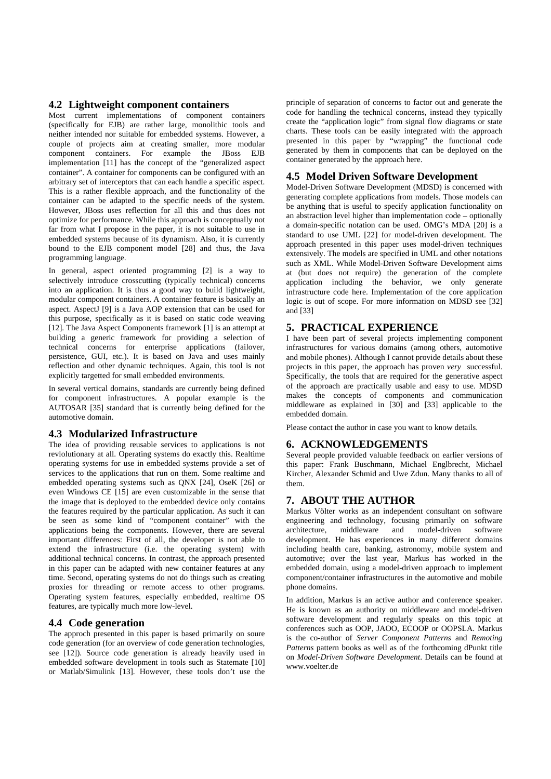### **4.2 Lightweight component containers**

Most current implementations of component containers (specifically for EJB) are rather large, monolithic tools and neither intended nor suitable for embedded systems. However, a couple of projects aim at creating smaller, more modular component containers. For example the JBoss EJB implementation [11] has the concept of the "generalized aspect container". A container for components can be configured with an arbitrary set of interceptors that can each handle a specific aspect. This is a rather flexible approach, and the functionality of the container can be adapted to the specific needs of the system. However, JBoss uses reflection for all this and thus does not optimize for performance. While this approach is conceptually not far from what I propose in the paper, it is not suitable to use in embedded systems because of its dynamism. Also, it is currently bound to the EJB component model [28] and thus, the Java programming language.

In general, aspect oriented programming [2] is a way to selectively introduce crosscutting (typically technical) concerns into an application. It is thus a good way to build lightweight, modular component containers. A container feature is basically an aspect. AspectJ [9] is a Java AOP extension that can be used for this purpose, specifically as it is based on static code weaving [12]. The Java Aspect Components framework [1] is an attempt at building a generic framework for providing a selection of technical concerns for enterprise applications (failover, persistence, GUI, etc.). It is based on Java and uses mainly reflection and other dynamic techniques. Again, this tool is not explicitly targetted for small embedded environments.

In several vertical domains, standards are currently being defined for component infrastructures. A popular example is the AUTOSAR [35] standard that is currently being defined for the automotive domain.

### **4.3 Modularized Infrastructure**

The idea of providing reusable services to applications is not revlolutionary at all. Operating systems do exactly this. Realtime operating systems for use in embedded systems provide a set of services to the applications that run on them. Some realtime and embedded operating systems such as QNX [24], OseK [26] or even Windows CE [15] are even customizable in the sense that the image that is deployed to the embedded device only contains the features required by the particular application. As such it can be seen as some kind of "component container" with the applications being the components. However, there are several important differences: First of all, the developer is not able to extend the infrastructure (i.e. the operating system) with additional technical concerns. In contrast, the approach presented in this paper can be adapted with new container features at any time. Second, operating systems do not do things such as creating proxies for threading or remote access to other programs. Operating system features, especially embedded, realtime OS features, are typically much more low-level.

### **4.4 Code generation**

The approch presented in this paper is based primarily on soure code generation (for an overview of code generation technologies, see [12]). Source code generation is already heavily used in embedded software development in tools such as Statemate [10] or Matlab/Simulink [13]. However, these tools don't use the principle of separation of concerns to factor out and generate the code for handling the technical concerns, instead they typically create the "application logic" from signal flow diagrams or state charts. These tools can be easily integrated with the approach presented in this paper by "wrapping" the functional code generated by them in components that can be deployed on the container generated by the approach here.

### **4.5 Model Driven Software Development**

Model-Driven Software Development (MDSD) is concerned with generating complete applications from models. Those models can be anything that is useful to specify application functionality on an abstraction level higher than implementation code – optionally a domain-specific notation can be used. OMG's MDA [20] is a standard to use UML [22] for model-driven development. The approach presented in this paper uses model-driven techniques extensively. The models are specified in UML and other notations such as XML. While Model-Driven Software Development aims at (but does not require) the generation of the complete application including the behavior, we only generate infrastructure code here. Implementation of the core application logic is out of scope. For more information on MDSD see [32] and [33]

### **5. PRACTICAL EXPERIENCE**

I have been part of several projects implementing component infrastructures for various domains (among others, automotive and mobile phones). Although I cannot provide details about these projects in this paper, the approach has proven *very* successful. Specifically, the tools that are required for the generative aspect of the approach are practically usable and easy to use. MDSD makes the concepts of components and communication middleware as explained in [30] and [33] applicable to the embedded domain.

Please contact the author in case you want to know details.

### **6. ACKNOWLEDGEMENTS**

Several people provided valuable feedback on earlier versions of this paper: Frank Buschmann, Michael Englbrecht, Michael Kircher, Alexander Schmid and Uwe Zdun. Many thanks to all of them.

# **7. ABOUT THE AUTHOR**

Markus Völter works as an independent consultant on software engineering and technology, focusing primarily on software architecture, middleware and model-driven software development. He has experiences in many different domains including health care, banking, astronomy, mobile system and automotive; over the last year, Markus has worked in the embedded domain, using a model-driven approach to implement component/container infrastructures in the automotive and mobile phone domains.

In addition, Markus is an active author and conference speaker. He is known as an authority on middleware and model-driven software development and regularly speaks on this topic at conferences such as OOP, JAOO, ECOOP or OOPSLA. Markus is the co-author of *Server Component Patterns* and *Remoting Patterns* pattern books as well as of the forthcoming dPunkt title on *Model-Driven Software Development*. Details can be found at www.voelter.de